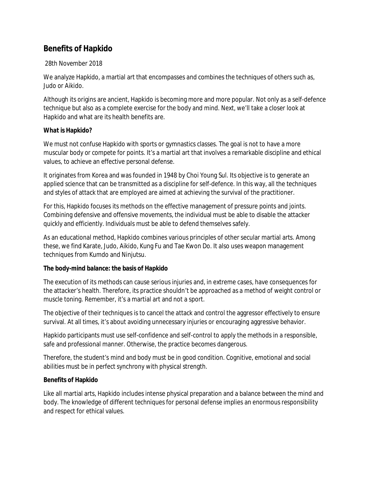# **Benefits of Hapkido**

## 28th November 2018

We analyze Hapkido, a martial art that encompasses and combines the techniques of others such as, Judo or Aikido.

Although its origins are ancient, Hapkido is becoming more and more popular. Not only as a self-defence technique but also as a complete exercise for the body and mind. Next, we'll take a closer look at Hapkido and what are its health benefits are.

## **What is Hapkido?**

We must not confuse Hapkido with sports or gymnastics classes. The goal is not to have a more muscular body or compete for points. It's a martial art that involves a remarkable discipline and ethical values, to achieve an effective personal defense.

It originates from Korea and was founded in 1948 by Choi Young Sul. Its objective is to generate an applied science that can be transmitted as a discipline for self-defence. In this way, all the techniques and styles of attack that are employed are aimed at achieving the survival of the practitioner.

For this, Hapkido focuses its methods on the effective management of pressure points and joints. Combining defensive and offensive movements, the individual must be able to disable the attacker quickly and efficiently. Individuals must be able to defend themselves safely.

As an educational method, Hapkido combines various principles of other secular martial arts. Among these, we find Karate, Judo, Aikido, Kung Fu and Tae Kwon Do. It also uses weapon management techniques from Kumdo and Ninjutsu.

## **The body-mind balance: the basis of Hapkido**

The execution of its methods can cause serious injuries and, in extreme cases, have consequences for the attacker's health. Therefore, its practice shouldn't be approached as a method of weight control or muscle toning. Remember, it's a martial art and not a sport.

The objective of their techniques is to cancel the attack and control the aggressor effectively to ensure survival. At all times, it's about avoiding unnecessary injuries or encouraging aggressive behavior.

Hapkido participants must use self-confidence and self-control to apply the methods in a responsible, safe and professional manner. Otherwise, the practice becomes dangerous.

Therefore, the student's mind and body must be in good condition. Cognitive, emotional and social abilities must be in perfect synchrony with physical strength.

## **Benefits of Hapkido**

Like all martial arts, Hapkido includes intense physical preparation and a balance between the mind and body. The knowledge of different techniques for personal defense implies an enormous responsibility and respect for ethical values.